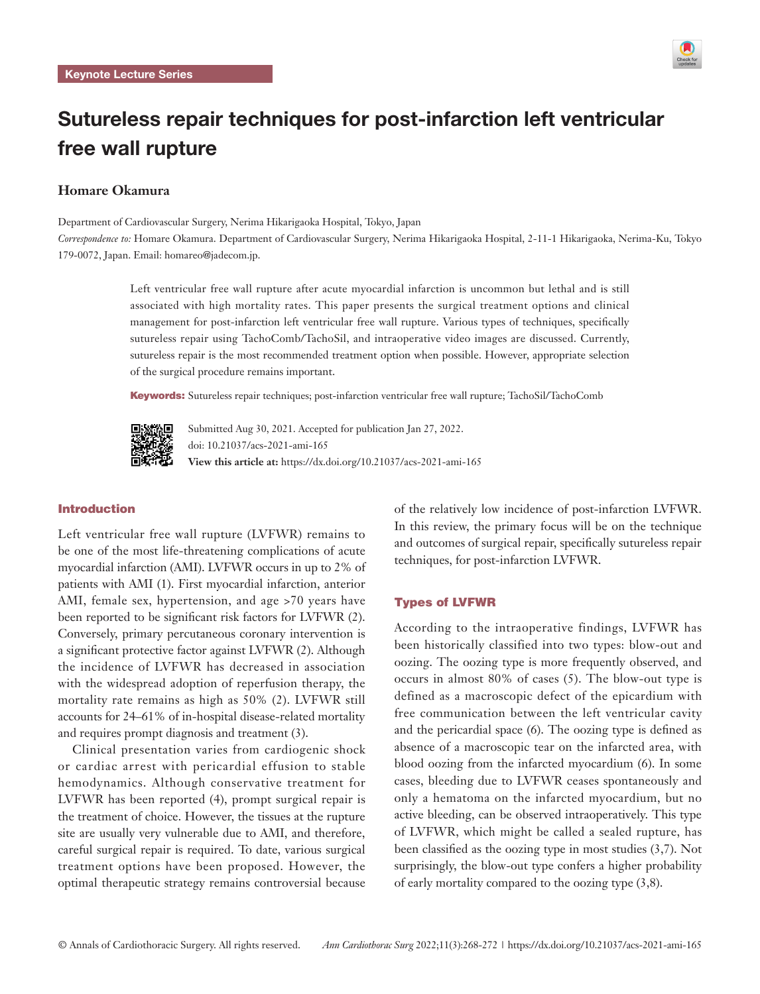

# Sutureless repair techniques for post-infarction left ventricular free wall rupture

# **Homare Okamura**

Department of Cardiovascular Surgery, Nerima Hikarigaoka Hospital, Tokyo, Japan

*Correspondence to:* Homare Okamura. Department of Cardiovascular Surgery, Nerima Hikarigaoka Hospital, 2-11-1 Hikarigaoka, Nerima-Ku, Tokyo 179-0072, Japan. Email: homareo@jadecom.jp.

> Left ventricular free wall rupture after acute myocardial infarction is uncommon but lethal and is still associated with high mortality rates. This paper presents the surgical treatment options and clinical management for post-infarction left ventricular free wall rupture. Various types of techniques, specifically sutureless repair using TachoComb/TachoSil, and intraoperative video images are discussed. Currently, sutureless repair is the most recommended treatment option when possible. However, appropriate selection of the surgical procedure remains important.

Keywords: Sutureless repair techniques; post-infarction ventricular free wall rupture; TachoSil/TachoComb



Submitted Aug 30, 2021. Accepted for publication Jan 27, 2022. doi: 10.21037/acs-2021-ami-165 **View this article at:** https://dx.doi.org/10.21037/acs-2021-ami-165

# Introduction

Left ventricular free wall rupture (LVFWR) remains to be one of the most life-threatening complications of acute myocardial infarction (AMI). LVFWR occurs in up to 2% of patients with AMI (1). First myocardial infarction, anterior AMI, female sex, hypertension, and age >70 years have been reported to be significant risk factors for LVFWR (2). Conversely, primary percutaneous coronary intervention is a significant protective factor against LVFWR (2). Although the incidence of LVFWR has decreased in association with the widespread adoption of reperfusion therapy, the mortality rate remains as high as 50% (2). LVFWR still accounts for 24–61% of in-hospital disease-related mortality and requires prompt diagnosis and treatment (3).

Clinical presentation varies from cardiogenic shock or cardiac arrest with pericardial effusion to stable hemodynamics. Although conservative treatment for LVFWR has been reported (4), prompt surgical repair is the treatment of choice. However, the tissues at the rupture site are usually very vulnerable due to AMI, and therefore, careful surgical repair is required. To date, various surgical treatment options have been proposed. However, the optimal therapeutic strategy remains controversial because of the relatively low incidence of post-infarction LVFWR. In this review, the primary focus will be on the technique and outcomes of surgical repair, specifically sutureless repair techniques, for post-infarction LVFWR.

# Types of LVFWR

According to the intraoperative findings, LVFWR has been historically classified into two types: blow-out and oozing. The oozing type is more frequently observed, and occurs in almost 80% of cases (5). The blow-out type is defined as a macroscopic defect of the epicardium with free communication between the left ventricular cavity and the pericardial space (6). The oozing type is defined as absence of a macroscopic tear on the infarcted area, with blood oozing from the infarcted myocardium (6). In some cases, bleeding due to LVFWR ceases spontaneously and only a hematoma on the infarcted myocardium, but no active bleeding, can be observed intraoperatively. This type of LVFWR, which might be called a sealed rupture, has been classified as the oozing type in most studies (3,7). Not surprisingly, the blow-out type confers a higher probability of early mortality compared to the oozing type (3,8).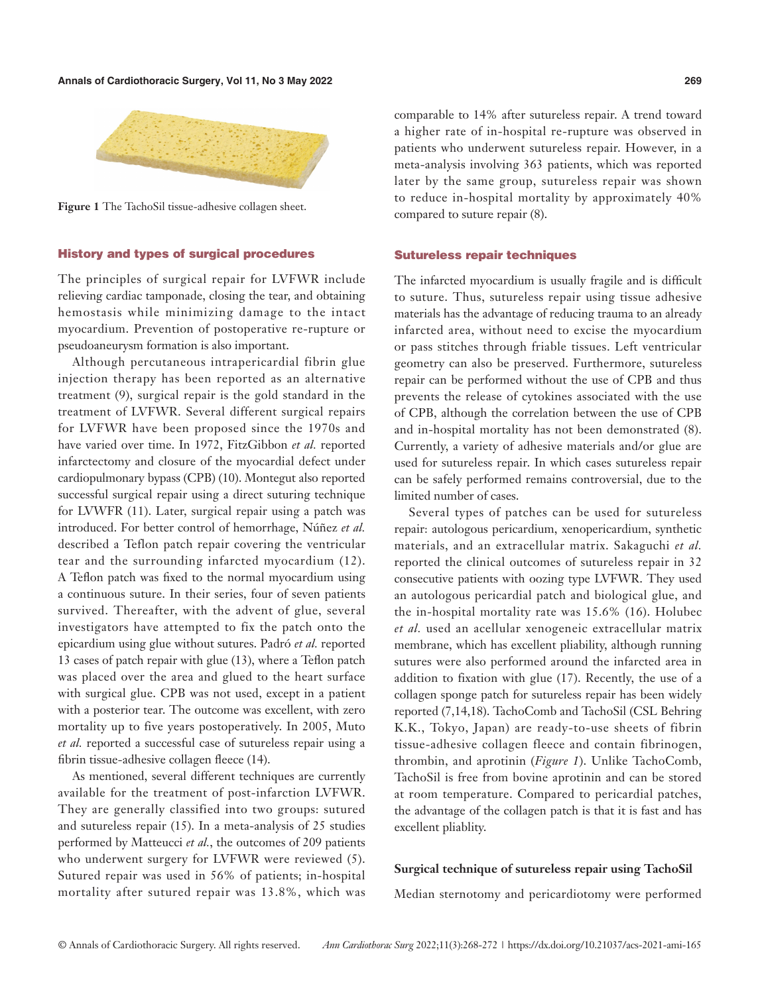**Annals of Cardiothoracic Surgery, Vol 11, No 3 May 2022 269**



**Figure 1** The TachoSil tissue-adhesive collagen sheet.

# History and types of surgical procedures

The principles of surgical repair for LVFWR include relieving cardiac tamponade, closing the tear, and obtaining hemostasis while minimizing damage to the intact myocardium. Prevention of postoperative re-rupture or pseudoaneurysm formation is also important.

Although percutaneous intrapericardial fibrin glue injection therapy has been reported as an alternative treatment (9), surgical repair is the gold standard in the treatment of LVFWR. Several different surgical repairs for LVFWR have been proposed since the 1970s and have varied over time. In 1972, FitzGibbon *et al.* reported infarctectomy and closure of the myocardial defect under cardiopulmonary bypass (CPB) (10). Montegut also reported successful surgical repair using a direct suturing technique for LVWFR (11). Later, surgical repair using a patch was introduced. For better control of hemorrhage, Núñez *et al.* described a Teflon patch repair covering the ventricular tear and the surrounding infarcted myocardium (12). A Teflon patch was fixed to the normal myocardium using a continuous suture. In their series, four of seven patients survived. Thereafter, with the advent of glue, several investigators have attempted to fix the patch onto the epicardium using glue without sutures. Padró *et al.* reported 13 cases of patch repair with glue (13), where a Teflon patch was placed over the area and glued to the heart surface with surgical glue. CPB was not used, except in a patient with a posterior tear. The outcome was excellent, with zero mortality up to five years postoperatively. In 2005, Muto *et al.* reported a successful case of sutureless repair using a fibrin tissue-adhesive collagen fleece (14).

As mentioned, several different techniques are currently available for the treatment of post-infarction LVFWR. They are generally classified into two groups: sutured and sutureless repair (15). In a meta-analysis of 25 studies performed by Matteucci *et al.*, the outcomes of 209 patients who underwent surgery for LVFWR were reviewed (5). Sutured repair was used in 56% of patients; in-hospital mortality after sutured repair was 13.8%, which was

comparable to 14% after sutureless repair. A trend toward a higher rate of in-hospital re-rupture was observed in patients who underwent sutureless repair. However, in a meta-analysis involving 363 patients, which was reported later by the same group, sutureless repair was shown to reduce in-hospital mortality by approximately 40% compared to suture repair (8).

#### Sutureless repair techniques

The infarcted myocardium is usually fragile and is difficult to suture. Thus, sutureless repair using tissue adhesive materials has the advantage of reducing trauma to an already infarcted area, without need to excise the myocardium or pass stitches through friable tissues. Left ventricular geometry can also be preserved. Furthermore, sutureless repair can be performed without the use of CPB and thus prevents the release of cytokines associated with the use of CPB, although the correlation between the use of CPB and in-hospital mortality has not been demonstrated (8). Currently, a variety of adhesive materials and/or glue are used for sutureless repair. In which cases sutureless repair can be safely performed remains controversial, due to the limited number of cases.

Several types of patches can be used for sutureless repair: autologous pericardium, xenopericardium, synthetic materials, and an extracellular matrix. Sakaguchi *et al.* reported the clinical outcomes of sutureless repair in 32 consecutive patients with oozing type LVFWR. They used an autologous pericardial patch and biological glue, and the in-hospital mortality rate was 15.6% (16). Holubec *et al.* used an acellular xenogeneic extracellular matrix membrane, which has excellent pliability, although running sutures were also performed around the infarcted area in addition to fixation with glue (17). Recently, the use of a collagen sponge patch for sutureless repair has been widely reported (7,14,18). TachoComb and TachoSil (CSL Behring K.K., Tokyo, Japan) are ready-to-use sheets of fibrin tissue-adhesive collagen fleece and contain fibrinogen, thrombin, and aprotinin (*Figure 1*). Unlike TachoComb, TachoSil is free from bovine aprotinin and can be stored at room temperature. Compared to pericardial patches, the advantage of the collagen patch is that it is fast and has excellent pliablity.

# **Surgical technique of sutureless repair using TachoSil**

Median sternotomy and pericardiotomy were performed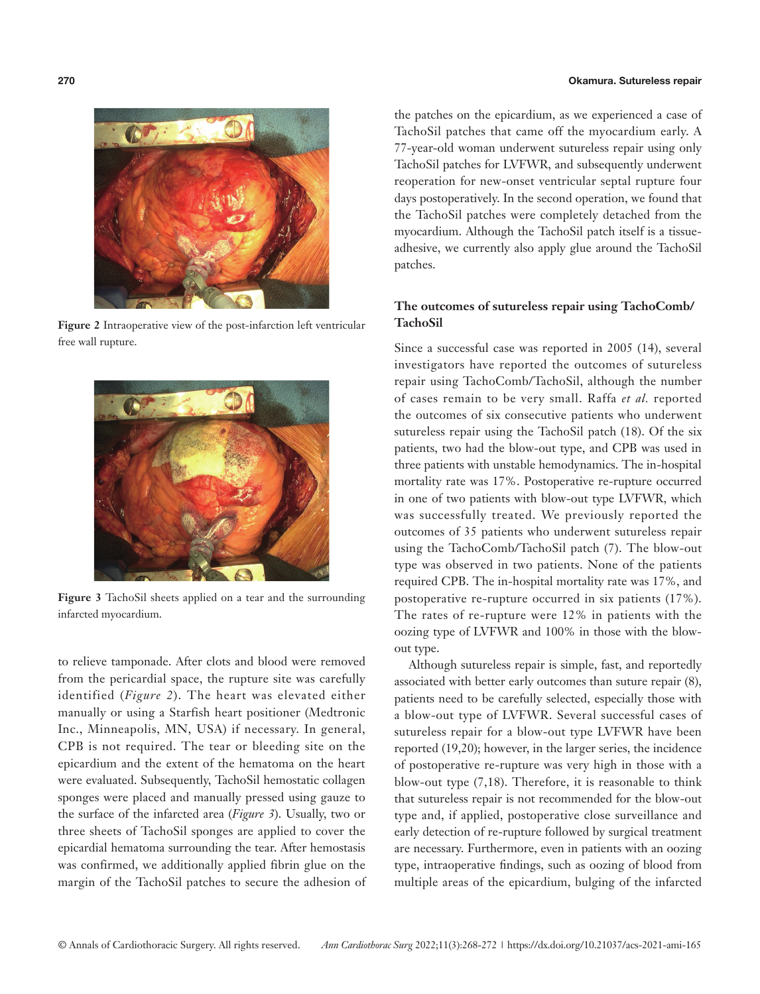

**Figure 2** Intraoperative view of the post-infarction left ventricular free wall rupture.



**Figure 3** TachoSil sheets applied on a tear and the surrounding infarcted myocardium.

to relieve tamponade. After clots and blood were removed from the pericardial space, the rupture site was carefully identified (*Figure 2*). The heart was elevated either manually or using a Starfish heart positioner (Medtronic Inc., Minneapolis, MN, USA) if necessary. In general, CPB is not required. The tear or bleeding site on the epicardium and the extent of the hematoma on the heart were evaluated. Subsequently, TachoSil hemostatic collagen sponges were placed and manually pressed using gauze to the surface of the infarcted area (*Figure 3*). Usually, two or three sheets of TachoSil sponges are applied to cover the epicardial hematoma surrounding the tear. After hemostasis was confirmed, we additionally applied fibrin glue on the margin of the TachoSil patches to secure the adhesion of

### **270** Okamura. Sutureless repair

the patches on the epicardium, as we experienced a case of TachoSil patches that came off the myocardium early. A 77-year-old woman underwent sutureless repair using only TachoSil patches for LVFWR, and subsequently underwent reoperation for new-onset ventricular septal rupture four days postoperatively. In the second operation, we found that the TachoSil patches were completely detached from the myocardium. Although the TachoSil patch itself is a tissueadhesive, we currently also apply glue around the TachoSil patches.

# **The outcomes of sutureless repair using TachoComb/ TachoSil**

Since a successful case was reported in 2005 (14), several investigators have reported the outcomes of sutureless repair using TachoComb/TachoSil, although the number of cases remain to be very small. Raffa *et al.* reported the outcomes of six consecutive patients who underwent sutureless repair using the TachoSil patch (18). Of the six patients, two had the blow-out type, and CPB was used in three patients with unstable hemodynamics. The in-hospital mortality rate was 17%. Postoperative re-rupture occurred in one of two patients with blow-out type LVFWR, which was successfully treated. We previously reported the outcomes of 35 patients who underwent sutureless repair using the TachoComb/TachoSil patch (7). The blow-out type was observed in two patients. None of the patients required CPB. The in-hospital mortality rate was 17%, and postoperative re-rupture occurred in six patients (17%). The rates of re-rupture were 12% in patients with the oozing type of LVFWR and 100% in those with the blowout type.

Although sutureless repair is simple, fast, and reportedly associated with better early outcomes than suture repair (8), patients need to be carefully selected, especially those with a blow-out type of LVFWR. Several successful cases of sutureless repair for a blow-out type LVFWR have been reported (19,20); however, in the larger series, the incidence of postoperative re-rupture was very high in those with a blow-out type (7,18). Therefore, it is reasonable to think that sutureless repair is not recommended for the blow-out type and, if applied, postoperative close surveillance and early detection of re-rupture followed by surgical treatment are necessary. Furthermore, even in patients with an oozing type, intraoperative findings, such as oozing of blood from multiple areas of the epicardium, bulging of the infarcted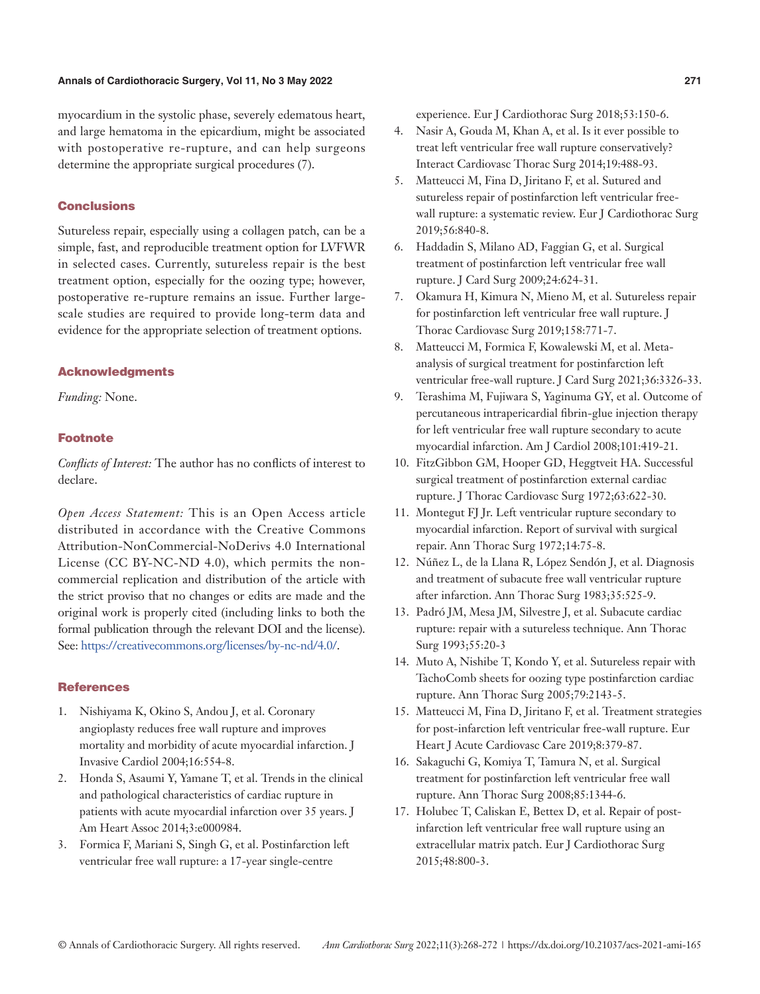# **Annals of Cardiothoracic Surgery, Vol 11, No 3 May 2022 271**

myocardium in the systolic phase, severely edematous heart, and large hematoma in the epicardium, might be associated with postoperative re-rupture, and can help surgeons determine the appropriate surgical procedures (7).

# **Conclusions**

Sutureless repair, especially using a collagen patch, can be a simple, fast, and reproducible treatment option for LVFWR in selected cases. Currently, sutureless repair is the best treatment option, especially for the oozing type; however, postoperative re-rupture remains an issue. Further largescale studies are required to provide long-term data and evidence for the appropriate selection of treatment options.

#### Acknowledgments

*Funding:* None.

### Footnote

*Conflicts of Interest:* The author has no conflicts of interest to declare.

*Open Access Statement:* This is an Open Access article distributed in accordance with the Creative Commons Attribution-NonCommercial-NoDerivs 4.0 International License (CC BY-NC-ND 4.0), which permits the noncommercial replication and distribution of the article with the strict proviso that no changes or edits are made and the original work is properly cited (including links to both the formal publication through the relevant DOI and the license). See: [https://creativecommons.org/licenses/by-nc-nd/4.0/.](https://creativecommons.org/licenses/by-nc-nd/4.0/)

# **References**

- 1. Nishiyama K, Okino S, Andou J, et al. Coronary angioplasty reduces free wall rupture and improves mortality and morbidity of acute myocardial infarction. J Invasive Cardiol 2004;16:554-8.
- 2. Honda S, Asaumi Y, Yamane T, et al. Trends in the clinical and pathological characteristics of cardiac rupture in patients with acute myocardial infarction over 35 years. J Am Heart Assoc 2014;3:e000984.
- 3. Formica F, Mariani S, Singh G, et al. Postinfarction left ventricular free wall rupture: a 17-year single-centre

experience. Eur J Cardiothorac Surg 2018;53:150-6.

- 4. Nasir A, Gouda M, Khan A, et al. Is it ever possible to treat left ventricular free wall rupture conservatively? Interact Cardiovasc Thorac Surg 2014;19:488-93.
- 5. Matteucci M, Fina D, Jiritano F, et al. Sutured and sutureless repair of postinfarction left ventricular freewall rupture: a systematic review. Eur J Cardiothorac Surg 2019;56:840-8.
- 6. Haddadin S, Milano AD, Faggian G, et al. Surgical treatment of postinfarction left ventricular free wall rupture. J Card Surg 2009;24:624-31.
- 7. Okamura H, Kimura N, Mieno M, et al. Sutureless repair for postinfarction left ventricular free wall rupture. J Thorac Cardiovasc Surg 2019;158:771-7.
- 8. Matteucci M, Formica F, Kowalewski M, et al. Metaanalysis of surgical treatment for postinfarction left ventricular free-wall rupture. J Card Surg 2021;36:3326-33.
- 9. Terashima M, Fujiwara S, Yaginuma GY, et al. Outcome of percutaneous intrapericardial fibrin-glue injection therapy for left ventricular free wall rupture secondary to acute myocardial infarction. Am J Cardiol 2008;101:419-21.
- 10. FitzGibbon GM, Hooper GD, Heggtveit HA. Successful surgical treatment of postinfarction external cardiac rupture. J Thorac Cardiovasc Surg 1972;63:622-30.
- 11. Montegut FJ Jr. Left ventricular rupture secondary to myocardial infarction. Report of survival with surgical repair. Ann Thorac Surg 1972;14:75-8.
- 12. Núñez L, de la Llana R, López Sendón J, et al. Diagnosis and treatment of subacute free wall ventricular rupture after infarction. Ann Thorac Surg 1983;35:525-9.
- 13. Padró JM, Mesa JM, Silvestre J, et al. Subacute cardiac rupture: repair with a sutureless technique. Ann Thorac Surg 1993;55:20-3
- 14. Muto A, Nishibe T, Kondo Y, et al. Sutureless repair with TachoComb sheets for oozing type postinfarction cardiac rupture. Ann Thorac Surg 2005;79:2143-5.
- 15. Matteucci M, Fina D, Jiritano F, et al. Treatment strategies for post-infarction left ventricular free-wall rupture. Eur Heart J Acute Cardiovasc Care 2019;8:379-87.
- 16. Sakaguchi G, Komiya T, Tamura N, et al. Surgical treatment for postinfarction left ventricular free wall rupture. Ann Thorac Surg 2008;85:1344-6.
- 17. Holubec T, Caliskan E, Bettex D, et al. Repair of postinfarction left ventricular free wall rupture using an extracellular matrix patch. Eur J Cardiothorac Surg 2015;48:800-3.